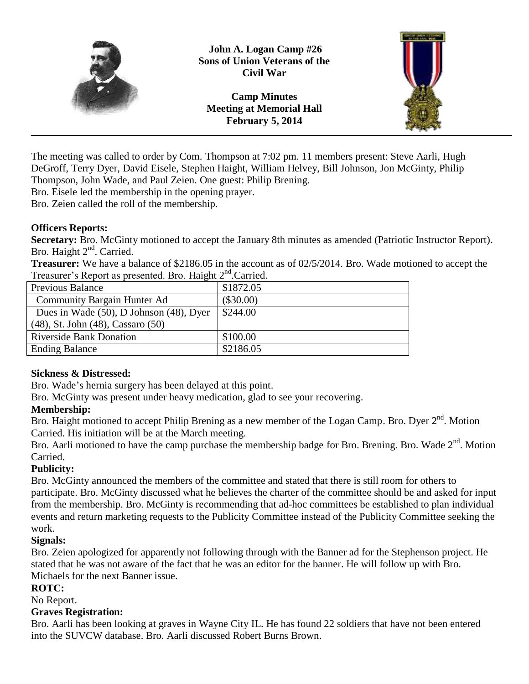

**John A. Logan Camp #26 Sons of Union Veterans of the Civil War**

**Camp Minutes Meeting at Memorial Hall February 5, 2014**



The meeting was called to order by Com. Thompson at 7:02 pm. 11 members present: Steve Aarli, Hugh DeGroff, Terry Dyer, David Eisele, Stephen Haight, William Helvey, Bill Johnson, Jon McGinty, Philip Thompson, John Wade, and Paul Zeien. One guest: Philip Brening.

Bro. Eisele led the membership in the opening prayer.

Bro. Zeien called the roll of the membership.

## **Officers Reports:**

**Secretary:** Bro. McGinty motioned to accept the January 8th minutes as amended (Patriotic Instructor Report). Bro. Haight 2<sup>nd</sup>. Carried.

**Treasurer:** We have a balance of \$2186.05 in the account as of 02/5/2014. Bro. Wade motioned to accept the Treasurer's Report as presented. Bro. Haight 2<sup>nd</sup>. Carried.

| 11                                      |             |
|-----------------------------------------|-------------|
| Previous Balance                        | \$1872.05   |
| <b>Community Bargain Hunter Ad</b>      | $(\$30.00)$ |
| Dues in Wade (50), D Johnson (48), Dyer | \$244.00    |
| (48), St. John (48), Cassaro (50)       |             |
| <b>Riverside Bank Donation</b>          | \$100.00    |
| <b>Ending Balance</b>                   | \$2186.05   |

## **Sickness & Distressed:**

Bro. Wade's hernia surgery has been delayed at this point.

Bro. McGinty was present under heavy medication, glad to see your recovering.

# **Membership:**

Bro. Haight motioned to accept Philip Brening as a new member of the Logan Camp. Bro. Dyer 2<sup>nd</sup>. Motion Carried. His initiation will be at the March meeting.

Bro. Aarli motioned to have the camp purchase the membership badge for Bro. Brening. Bro. Wade 2<sup>nd</sup>. Motion Carried.

# **Publicity:**

Bro. McGinty announced the members of the committee and stated that there is still room for others to participate. Bro. McGinty discussed what he believes the charter of the committee should be and asked for input from the membership. Bro. McGinty is recommending that ad-hoc committees be established to plan individual events and return marketing requests to the Publicity Committee instead of the Publicity Committee seeking the work.

# **Signals:**

Bro. Zeien apologized for apparently not following through with the Banner ad for the Stephenson project. He stated that he was not aware of the fact that he was an editor for the banner. He will follow up with Bro. Michaels for the next Banner issue.

## **ROTC:**

No Report.

# **Graves Registration:**

Bro. Aarli has been looking at graves in Wayne City IL. He has found 22 soldiers that have not been entered into the SUVCW database. Bro. Aarli discussed Robert Burns Brown.